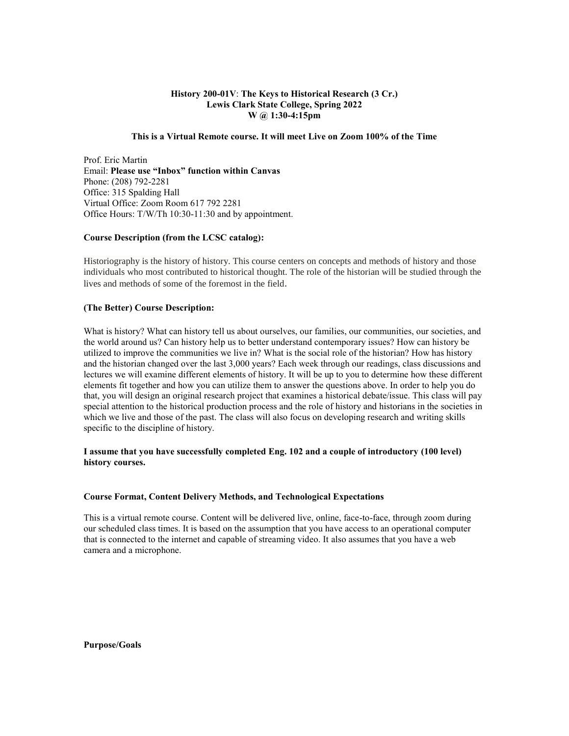# **History 200-01V**: **The Keys to Historical Research (3 Cr.) Lewis Clark State College, Spring 2022 W @ 1:30-4:15pm**

### **This is a Virtual Remote course. It will meet Live on Zoom 100% of the Time**

Prof. Eric Martin Email: **Please use "Inbox" function within Canvas** Phone: (208) 792-2281 Office: 315 Spalding Hall Virtual Office: Zoom Room 617 792 2281 Office Hours: T/W/Th 10:30-11:30 and by appointment.

### **Course Description (from the LCSC catalog):**

Historiography is the history of history. This course centers on concepts and methods of history and those individuals who most contributed to historical thought. The role of the historian will be studied through the lives and methods of some of the foremost in the field.

### **(The Better) Course Description:**

What is history? What can history tell us about ourselves, our families, our communities, our societies, and the world around us? Can history help us to better understand contemporary issues? How can history be utilized to improve the communities we live in? What is the social role of the historian? How has history and the historian changed over the last 3,000 years? Each week through our readings, class discussions and lectures we will examine different elements of history. It will be up to you to determine how these different elements fit together and how you can utilize them to answer the questions above. In order to help you do that, you will design an original research project that examines a historical debate/issue. This class will pay special attention to the historical production process and the role of history and historians in the societies in which we live and those of the past. The class will also focus on developing research and writing skills specific to the discipline of history.

### **I assume that you have successfully completed Eng. 102 and a couple of introductory (100 level) history courses.**

## **Course Format, Content Delivery Methods, and Technological Expectations**

This is a virtual remote course. Content will be delivered live, online, face-to-face, through zoom during our scheduled class times. It is based on the assumption that you have access to an operational computer that is connected to the internet and capable of streaming video. It also assumes that you have a web camera and a microphone.

**Purpose/Goals**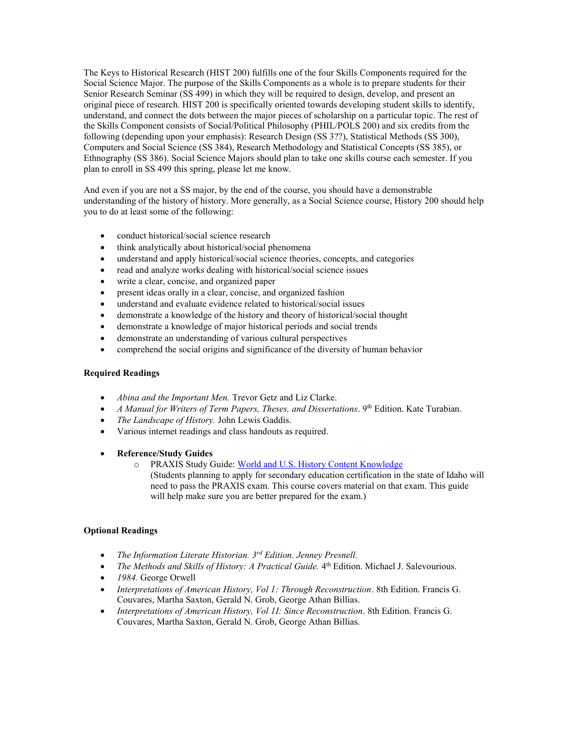The Keys to Historical Research (HIST 200) fulfills one of the four Skills Components required for the Social Science Major. The purpose of the Skills Components as a whole is to prepare students for their Senior Research Seminar (SS 499) in which they will be required to design, develop, and present an original piece of research. HIST 200 is specifically oriented towards developing student skills to identify, understand, and connect the dots between the major pieces of scholarship on a particular topic. The rest of the Skills Component consists of Social/Political Philosophy (PHIL/POLS 200) and six credits from the following (depending upon your emphasis): Research Design (SS 3??), Statistical Methods (SS 300), Computers and Social Science (SS 384), Research Methodology and Statistical Concepts (SS 385), or Ethnography (SS 386). Social Science Majors should plan to take one skills course each semester. If you plan to enroll in SS 499 this spring, please let me know.

And even if you are not a SS major, by the end of the course, you should have a demonstrable understanding of the history of history. More generally, as a Social Science course, History 200 should help you to do at least some of the following:

- conduct historical/social science research
- think analytically about historical/social phenomena
- understand and apply historical/social science theories, concepts, and categories
- read and analyze works dealing with historical/social science issues
- write a clear, concise, and organized paper
- present ideas orally in a clear, concise, and organized fashion
- understand and evaluate evidence related to historical/social issues
- demonstrate a knowledge of the history and theory of historical/social thought
- demonstrate a knowledge of major historical periods and social trends
- demonstrate an understanding of various cultural perspectives
- comprehend the social origins and significance of the diversity of human behavior

## **Required Readings**

- *Abina and the Important Men.* Trevor Getz and Liz Clarke.
- *A Manual for Writers of Term Papers, Theses, and Dissertations*. 9<sup>th</sup> Edition. Kate Turabian.
- *The Landscape of History.* John Lewis Gaddis.
- Various internet readings and class handouts as required.
- **Reference/Study Guides**
	- o PRAXIS Study Guide[: World and U.S. History Content Knowledge](http://www.ets.org/s/praxis/pdf/5941.pdf)

(Students planning to apply for secondary education certification in the state of Idaho will need to pass the PRAXIS exam. This course covers material on that exam. This guide will help make sure you are better prepared for the exam.)

### **Optional Readings**

- *The Information Literate Historian. 3rd Edition. Jenney Presnell.*
- The Methods and Skills of History: A Practical Guide. 4<sup>th</sup> Edition. Michael J. Salevourious.
- *1984.* George Orwell
- *Interpretations of American History, Vol 1: Through Reconstruction*. 8th Edition. Francis G. Couvares, Martha Saxton, Gerald N. Grob, George Athan Billias.
- *Interpretations of American History, Vol 1I: Since Reconstruction*. 8th Edition. Francis G. Couvares, Martha Saxton, Gerald N. Grob, George Athan Billias.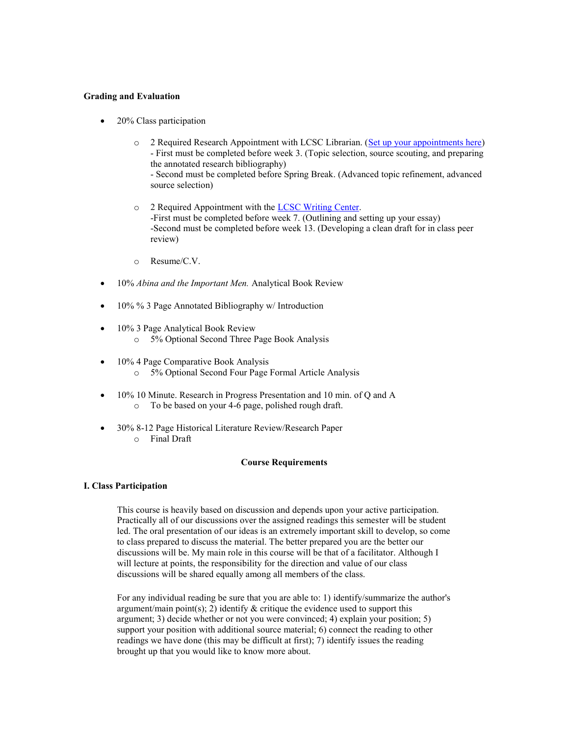### **Grading and Evaluation**

- 20% Class participation
	- o 2 Required Research Appointment with LCSC Librarian. [\(Set up your appointments here\)](http://lcsc.libcal.com/appointments/) - First must be completed before week 3. (Topic selection, source scouting, and preparing the annotated research bibliography)

- Second must be completed before Spring Break. (Advanced topic refinement, advanced source selection)

- o 2 Required Appointment with the [LCSC Writing Center.](http://www.lcsc.edu/writing-center/) -First must be completed before week 7. (Outlining and setting up your essay) -Second must be completed before week 13. (Developing a clean draft for in class peer review)
- o Resume/C.V.
- 10% *Abina and the Important Men.* Analytical Book Review
- 10% % 3 Page Annotated Bibliography w/ Introduction
- 10% 3 Page Analytical Book Review o 5% Optional Second Three Page Book Analysis
- 10% 4 Page Comparative Book Analysis o 5% Optional Second Four Page Formal Article Analysis
- 10% 10 Minute. Research in Progress Presentation and 10 min. of Q and A o To be based on your 4-6 page, polished rough draft.
- 30% 8-12 Page Historical Literature Review/Research Paper o Final Draft

## **Course Requirements**

## **I. Class Participation**

This course is heavily based on discussion and depends upon your active participation. Practically all of our discussions over the assigned readings this semester will be student led. The oral presentation of our ideas is an extremely important skill to develop, so come to class prepared to discuss the material. The better prepared you are the better our discussions will be. My main role in this course will be that of a facilitator. Although I will lecture at points, the responsibility for the direction and value of our class discussions will be shared equally among all members of the class.

For any individual reading be sure that you are able to: 1) identify/summarize the author's argument/main point(s); 2) identify  $\&$  critique the evidence used to support this argument; 3) decide whether or not you were convinced; 4) explain your position; 5) support your position with additional source material; 6) connect the reading to other readings we have done (this may be difficult at first); 7) identify issues the reading brought up that you would like to know more about.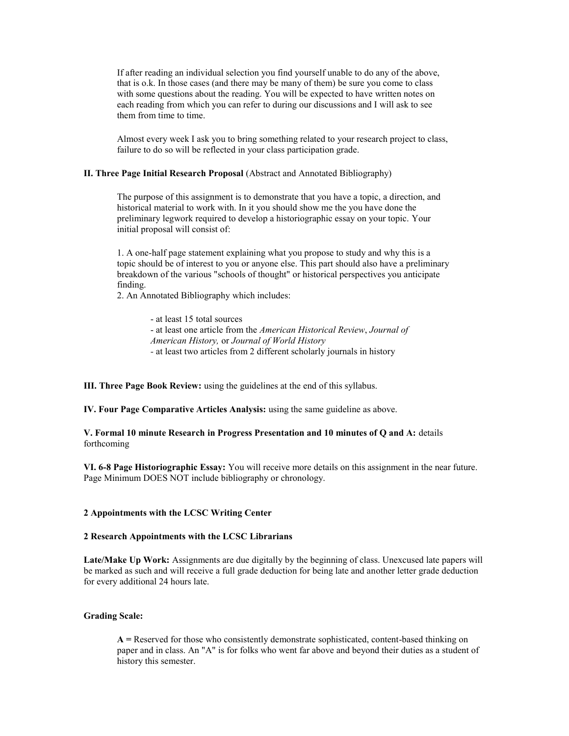If after reading an individual selection you find yourself unable to do any of the above, that is o.k. In those cases (and there may be many of them) be sure you come to class with some questions about the reading. You will be expected to have written notes on each reading from which you can refer to during our discussions and I will ask to see them from time to time.

Almost every week I ask you to bring something related to your research project to class, failure to do so will be reflected in your class participation grade.

## **II. Three Page Initial Research Proposal** (Abstract and Annotated Bibliography)

The purpose of this assignment is to demonstrate that you have a topic, a direction, and historical material to work with. In it you should show me the you have done the preliminary legwork required to develop a historiographic essay on your topic. Your initial proposal will consist of:

1. A one-half page statement explaining what you propose to study and why this is a topic should be of interest to you or anyone else. This part should also have a preliminary breakdown of the various "schools of thought" or historical perspectives you anticipate finding.

2. An Annotated Bibliography which includes:

- at least 15 total sources - at least one article from the *American Historical Review*, *Journal of* 

- *American History,* or *Journal of World History*
- *-* at least two articles from 2 different scholarly journals in history

**III. Three Page Book Review:** using the guidelines at the end of this syllabus.

**IV. Four Page Comparative Articles Analysis:** using the same guideline as above.

**V. Formal 10 minute Research in Progress Presentation and 10 minutes of Q and A:** details forthcoming

**VI. 6-8 Page Historiographic Essay:** You will receive more details on this assignment in the near future. Page Minimum DOES NOT include bibliography or chronology.

#### **2 Appointments with the LCSC Writing Center**

### **2 Research Appointments with the LCSC Librarians**

**Late/Make Up Work:** Assignments are due digitally by the beginning of class. Unexcused late papers will be marked as such and will receive a full grade deduction for being late and another letter grade deduction for every additional 24 hours late.

#### **Grading Scale:**

**A =** Reserved for those who consistently demonstrate sophisticated, content-based thinking on paper and in class. An "A" is for folks who went far above and beyond their duties as a student of history this semester.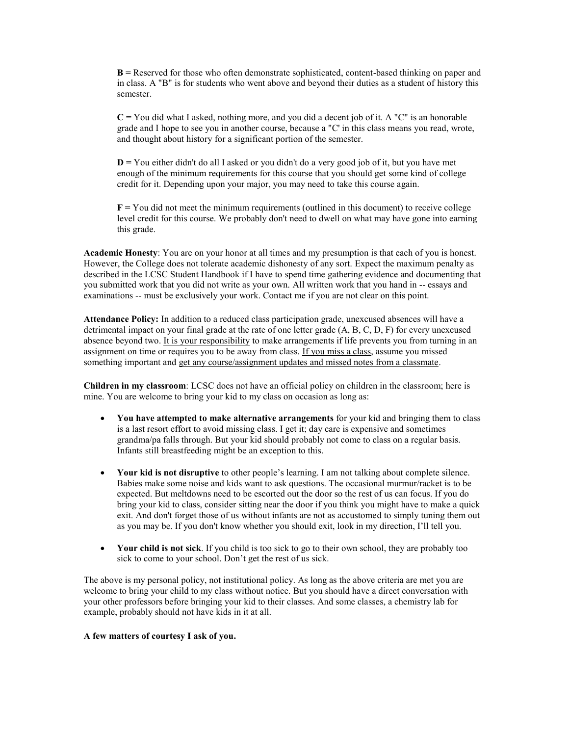**B =** Reserved for those who often demonstrate sophisticated, content-based thinking on paper and in class. A "B" is for students who went above and beyond their duties as a student of history this semester.

**C =** You did what I asked, nothing more, and you did a decent job of it. A "C" is an honorable grade and I hope to see you in another course, because a "C' in this class means you read, wrote, and thought about history for a significant portion of the semester.

**D =** You either didn't do all I asked or you didn't do a very good job of it, but you have met enough of the minimum requirements for this course that you should get some kind of college credit for it. Depending upon your major, you may need to take this course again.

**F =** You did not meet the minimum requirements (outlined in this document) to receive college level credit for this course. We probably don't need to dwell on what may have gone into earning this grade.

**Academic Honesty**: You are on your honor at all times and my presumption is that each of you is honest. However, the College does not tolerate academic dishonesty of any sort. Expect the maximum penalty as described in the LCSC Student Handbook if I have to spend time gathering evidence and documenting that you submitted work that you did not write as your own. All written work that you hand in -- essays and examinations -- must be exclusively your work. Contact me if you are not clear on this point.

**Attendance Policy:** In addition to a reduced class participation grade, unexcused absences will have a detrimental impact on your final grade at the rate of one letter grade (A, B, C, D, F) for every unexcused absence beyond two. It is your responsibility to make arrangements if life prevents you from turning in an assignment on time or requires you to be away from class. If you miss a class, assume you missed something important and get any course/assignment updates and missed notes from a classmate.

**Children in my classroom**: LCSC does not have an official policy on children in the classroom; here is mine. You are welcome to bring your kid to my class on occasion as long as:

- **You have attempted to make alternative arrangements** for your kid and bringing them to class is a last resort effort to avoid missing class. I get it; day care is expensive and sometimes grandma/pa falls through. But your kid should probably not come to class on a regular basis. Infants still breastfeeding might be an exception to this.
- **Your kid is not disruptive** to other people's learning. I am not talking about complete silence. Babies make some noise and kids want to ask questions. The occasional murmur/racket is to be expected. But meltdowns need to be escorted out the door so the rest of us can focus. If you do bring your kid to class, consider sitting near the door if you think you might have to make a quick exit. And don't forget those of us without infants are not as accustomed to simply tuning them out as you may be. If you don't know whether you should exit, look in my direction, I'll tell you.
- **Your child is not sick**. If you child is too sick to go to their own school, they are probably too sick to come to your school. Don't get the rest of us sick.

The above is my personal policy, not institutional policy. As long as the above criteria are met you are welcome to bring your child to my class without notice. But you should have a direct conversation with your other professors before bringing your kid to their classes. And some classes, a chemistry lab for example, probably should not have kids in it at all.

### **A few matters of courtesy I ask of you.**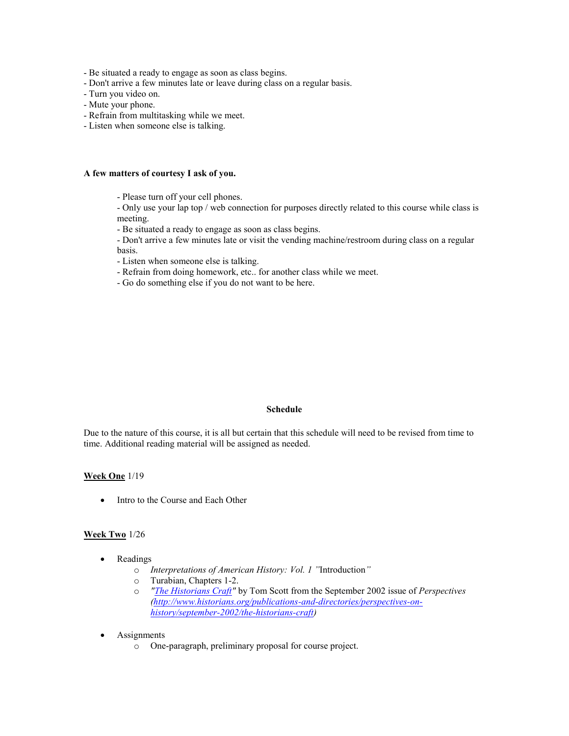- Be situated a ready to engage as soon as class begins.
- Don't arrive a few minutes late or leave during class on a regular basis.
- Turn you video on.
- Mute your phone.
- Refrain from multitasking while we meet.
- Listen when someone else is talking.

## **A few matters of courtesy I ask of you.**

- Please turn off your cell phones.

- Only use your lap top / web connection for purposes directly related to this course while class is meeting.

- Be situated a ready to engage as soon as class begins.

- Don't arrive a few minutes late or visit the vending machine/restroom during class on a regular basis.

- Listen when someone else is talking.
- Refrain from doing homework, etc.. for another class while we meet.
- Go do something else if you do not want to be here.

### **Schedule**

Due to the nature of this course, it is all but certain that this schedule will need to be revised from time to time. Additional reading material will be assigned as needed.

### **Week One** 1/19

• Intro to the Course and Each Other

### **Week Two** 1/26

- Readings
	- o *Interpretations of American History: Vol. 1 "*Introduction*"*
	- o Turabian, Chapters 1-2.
	- o *["The Historians Craft"](http://www.historians.org/Perspectives/Issues/2002/0209/0209teach3.cfm)* by Tom Scott from the September 2002 issue of *Perspectives [\(http://www.historians.org/publications-and-directories/perspectives-on](http://www.historians.org/publications-and-directories/perspectives-on-history/september-2002/the-historians-craft)[history/september-2002/the-historians-craft\)](http://www.historians.org/publications-and-directories/perspectives-on-history/september-2002/the-historians-craft)*
- **Assignments** 
	- o One-paragraph, preliminary proposal for course project.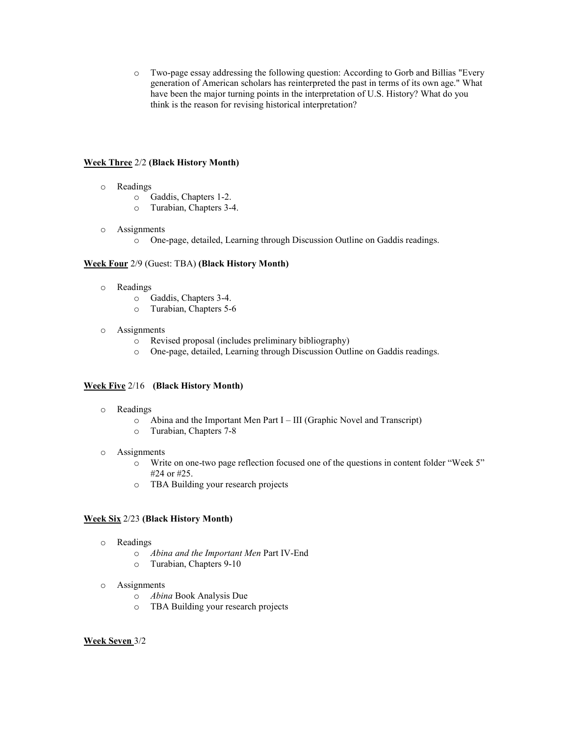o Two-page essay addressing the following question: According to Gorb and Billias "Every generation of American scholars has reinterpreted the past in terms of its own age." What have been the major turning points in the interpretation of U.S. History? What do you think is the reason for revising historical interpretation?

## **Week Three** 2/2 **(Black History Month)**

- o Readings
	- o Gaddis, Chapters 1-2.
	- o Turabian, Chapters 3-4.
- o Assignments
	- o One-page, detailed, Learning through Discussion Outline on Gaddis readings.

## **Week Four** 2/9 (Guest: TBA) **(Black History Month)**

- o Readings
	- o Gaddis, Chapters 3-4.
	- o Turabian, Chapters 5-6
- o Assignments
	- o Revised proposal (includes preliminary bibliography)
	- o One-page, detailed, Learning through Discussion Outline on Gaddis readings.

# **Week Five** 2/16 **(Black History Month)**

- o Readings
	- o Abina and the Important Men Part I III (Graphic Novel and Transcript)
	- o Turabian, Chapters 7-8
- o Assignments
	- o Write on one-two page reflection focused one of the questions in content folder "Week 5" #24 or #25.
	- o TBA Building your research projects

# **Week Six** 2/23 **(Black History Month)**

- o Readings
	- o *Abina and the Important Men* Part IV-End
	- o Turabian, Chapters 9-10
- o Assignments
	- o *Abina* Book Analysis Due
	- o TBA Building your research projects

**Week Seven** 3/2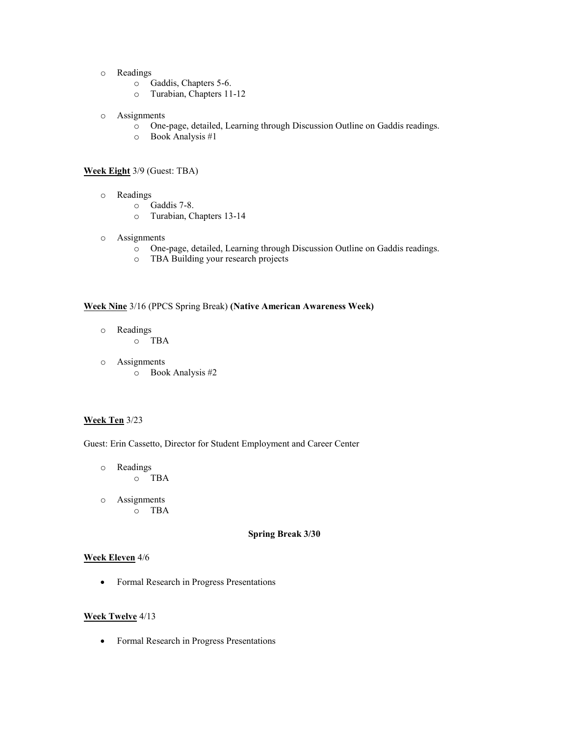- o Readings
	- o Gaddis, Chapters 5-6.
	- o Turabian, Chapters 11-12
- o Assignments
	- o One-page, detailed, Learning through Discussion Outline on Gaddis readings.
	- o Book Analysis #1

#### **Week Eight** 3/9 (Guest: TBA)

- o Readings
	- o Gaddis 7-8.
	- o Turabian, Chapters 13-14
- o Assignments
	- o One-page, detailed, Learning through Discussion Outline on Gaddis readings.
	- o TBA Building your research projects

## **Week Nine** 3/16 (PPCS Spring Break) **(Native American Awareness Week)**

- o Readings o TBA
- o Assignments
	- o Book Analysis #2

### **Week Ten** 3/23

Guest: Erin Cassetto, Director for Student Employment and Career Center

- o Readings o TBA
- o Assignments o TBA

### **Spring Break 3/30**

### **Week Eleven** 4/6

• Formal Research in Progress Presentations

## **Week Twelve** 4/13

• Formal Research in Progress Presentations